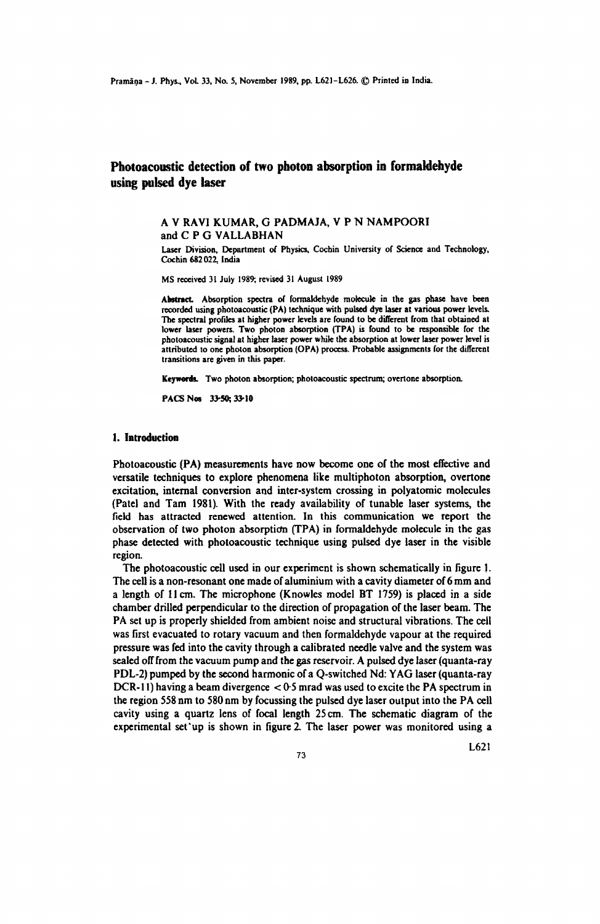# **Photoacoustic detection of two photon absorption in formaldehyde using pulsed dye laser**

### A V RAVI KUMAR, G PADMAJA, V P N NAMPOORI and C P G VALLABHAN

Laser Division, Department of Physics, Cochin University or Science and Technology, Cochin 682022, India

MS received 31 July 1989; revised 31 August 1989

Abstract. Absorption spectra of formaldehyde molecule in the gas phase have been recorded using photoacoustic (PA) tcchnique with pulsed dye laser at various power levels. The spectral profiles at higher power levels are found to be different from that obtained at lower laser powers. Two photon absorption (TPA) is found to be responsible for the photoacoustic signal at higher laser power while the absorption at lower laser power level is attributed to one photon absorption (OPA) process. Probable assignments for the different transitions are given in this paper.

Keywords. Two photon absorption; photoacoustic spectrum; overtone absorption.

PACS Nos 33-50; 33-10

#### **1. Introduction**

Pbotoacoustic (PA) measurements have now become one of the most effective and versatile techniques to explore phenomena like multiphoton absorption, overtone excitation, internal conversion and inter-system crossing in polyatomic molecules (Patel and Tam 1981). With the ready availability of tunable laser systems, the field has attracted renewed attention. In this communication we report the observation of two photon absorptidn (TPA) in fonnaldehyde molecule in the gas phase detected with photoacoustic technique using pulsed dye laser in the visible region.

The photoacoustic cell used in our experiment is shown schematically in figure 1. The cell is a non-resonant one made of aluminium with a cavity diameter of 6 mm and a length of 11 cm. The microphone (Knowles model BT 1759) is placed in a side chamber drilled perpendicular to the direction of propagation of the laser beam. The PA set up is properly shielded from ambient noise and structural vibrations. The cell was first evacuated to rotary vacuum and then fonnaldehyde vapour at the required pressure was fed into the cavity through a calibrated needle vaJve and the system was sealed off from the vacuum pump and the gas reservoir. A pulsed dye laser (quanta-ray PDL-2) pumped by the second harmonic of a Q-switched Nd: Y AG laser (quanta-ray DCR-11) having a beam divergence  $< 0.5$  mrad was used to excite the PA spectrum in the region 558 nm to 580 nm by focussing the pulsed dye laser output into the PA cell cavity using a quartz lens of focal length 25 cm. The schematic diagram of the experimental set'up is shown in figure 2. The laser power was monitored using a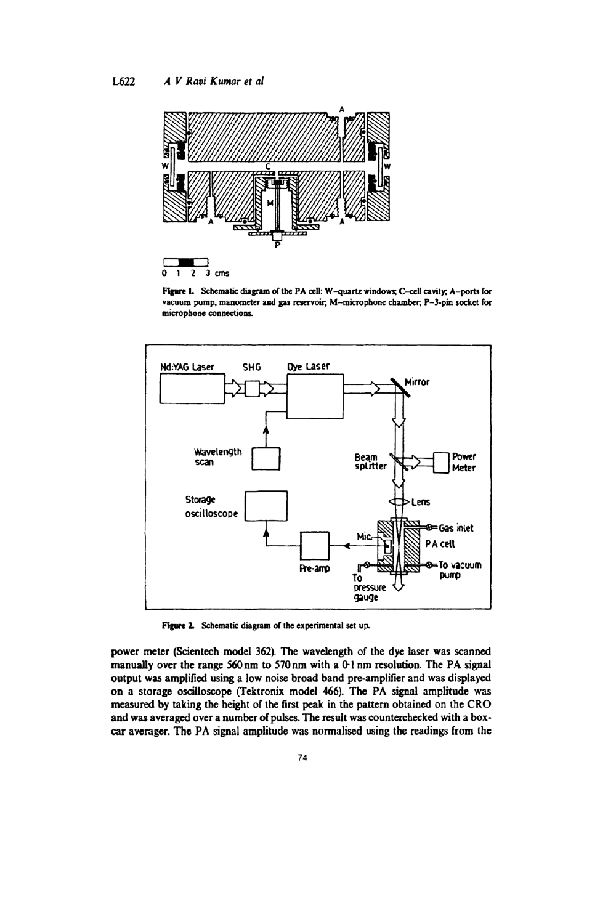

Figure 1. Schematic diagram of the PA cell: W-quartz windows; C-cell cavity; A-ports for vacuum pump, manometer and gas reservoir; M-microphone chamber; P-3-pin socket for microphone connections.



Figure 2. Schematic diagram of the experimental set up.

power meter (Scientech model 362). The wavelength of the dye laser was scanned manually over the range 560 nm to 570 nm with a 0-1 nm resolution. The PA signal output was amplified using a low noise broad band pre-amplifier and was displayed on a storage oscilloscope (Tektronix model 466). The PA signal amplitude was measured by taking the height of the first peak in the pattern obtained on the CRO and was averaged over a number of pulses. The result was counterchecked with a boxcar averager. The PA signal amplitude was normalised using the readings from the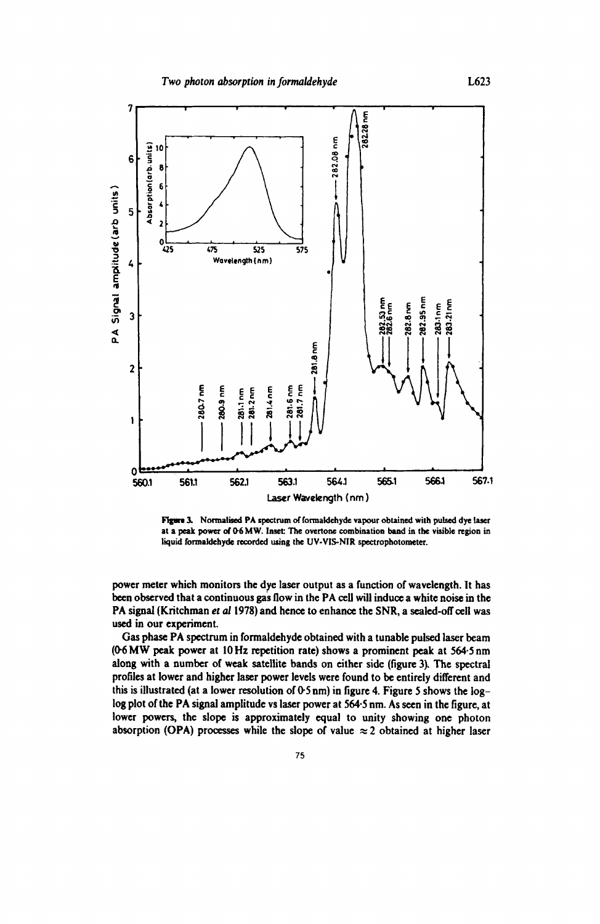

Figure 3. Normalised PA spectrum of formaldehyde vapour obtained with pulsed dye laser at a peak power of 0-6 MW. Inset: The overtone combination band in the visible region in liquid formaldehyde recorded using the UV-VIS-NIR spectrophotometer.

power meter which monitors the dye laser output as a function of wavelength. It has been observed that a continuous gas flow in the PA ceU will induce a white noise in the PA signal (Kritchman et al 1978) and hence to enhance the SNR, a sealed-off cell was used in our experiment.

Gas phase PA spectrum in formaldehyde obtained with a tunable pulsed laser beam (0-6 MW peak power at 10Hz repetition rate) shows a prominent peak at 564·5 nm along with a number of weak satellite bands on either side (figure 3). The spectral profiles at lower and higher laser power levels were found to be entirely different and this is illustrated (at a lower resolution of  $0.5 \text{ nm}$ ) in figure 4. Figure 5 shows the loglog plot of the PA signal amplitude vs laser power at 564·5 nm. As seen in the figure, at lower powers, the slope is approximately equal to unity showing one photon absorption (OPA) processes while the slope of value  $\approx$  2 obtained at higher laser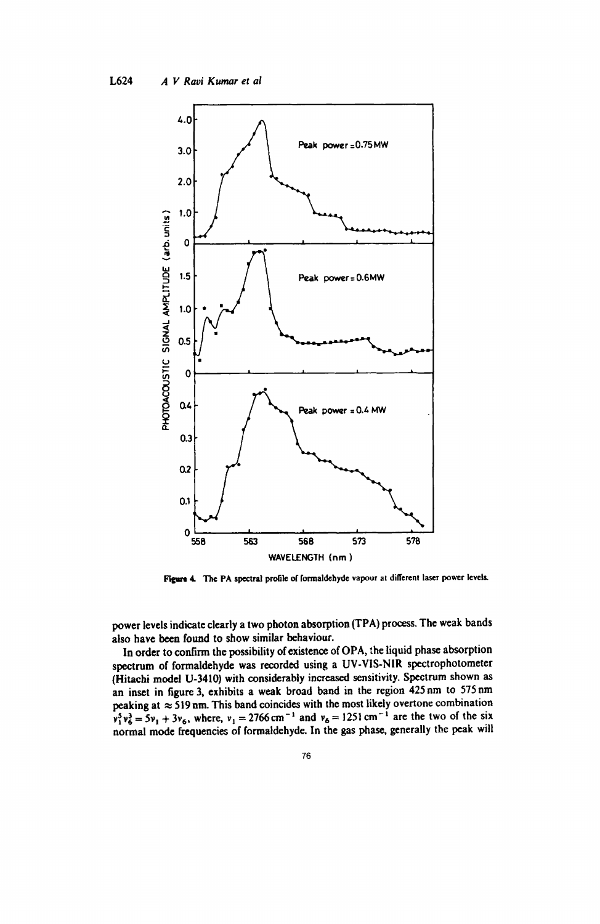

Figure 4. The PA spectral profile of formaldehyde vapour at different laser power levels.

power levels indicate clearly a two photon absorption (TPA) process. The weak bands also have been found to show similar behaviour.

In order to confirm the possibility of existence of OPA, the liquid phase absorption spectrum of formaldehyde was recorded using a UV-VIS-NIR spectrophotometer (Hitachi model U-3410) with considerably increased sensitivity. Spectrum shown as an inset in figure 3, exhibits a weak broad band in the region 425 nm to 575 nm peaking at  $\approx$  519 nm. This band coincides with the most likely overtone combination  $v_1^5 v_6^3 = 5v_1 + 3v_6$ , where,  $v_1 = 2766 \text{ cm}^{-1}$  and  $v_6 = 1251 \text{ cm}^{-1}$  are the two of the six normal mode frequencies of formaldehyde. In the gas phase, generally the peak will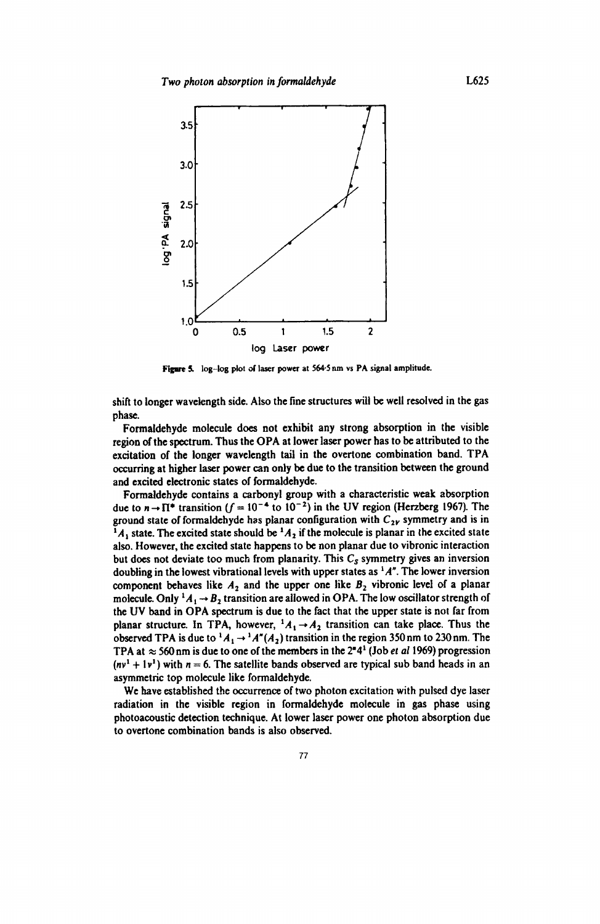

Figure 5. log-log plot of laser power at 564.5 nm vs PA signal amplitude.

shift to longer wavelength side. Also the fine structures will be well resolved in the gas phase.

Formaldehyde molecule does not exhibit any strong absorption in the visible region of the spectrum. Thus the OPA at lower laser power has to be attributed to the excitation of the longer wavelength tail in the overtone combination band. TPA occurring at higher laser power can only be due to the transition between the ground and excited electronic states of formaldehyde.

Formaldehyde contains a carbonyl group with a characteristic weak absorption due to  $n \rightarrow \Pi^*$  transition ( $f = 10^{-4}$  to  $10^{-2}$ ) in the UV region (Herzberg 1967). The ground state of formaldehyde has planar configuration with  $C_{2Y}$  symmetry and is in  $^{1}A_{1}$  state. The excited state should be  $^{1}A_{2}$  if the molecule is planar in the excited state also. However, the excited state happens to be non planar due to vibronic interaction but does not deviate too much from planarity. This  $C_s$  symmetry gives an inversion doubling in the lowest vibrational levels with upper states as <sup>1</sup>A<sup>n</sup>. The lower inversion component behaves like  $A_2$  and the upper one like  $B_2$  vibronic level of a planar molecule. Only  ${}^1A_1 \rightarrow B_2$  transition are allowed in OPA. The low oscillator strength of the UV band in OPA spectrum is due to the fact that the upper state is not far from planar structure. In TPA, however,  $^{1}A_{1} \rightarrow A_{2}$  transition can take place. Thus the observed TPA is due to  ${}^{1}A_{1} \rightarrow {}^{1}A''(A_{2})$  transition in the region 350 nm to 230 nm. The TPA at  $\approx$  560 nm is due to one of the members in the 2<sup> $n$ </sup>4<sup>1</sup> (Job *et al* 1969) progression  $(nv<sup>1</sup> + 1v<sup>1</sup>)$  with  $n = 6$ . The satellite bands observed are typical sub band heads in an asymmetric top molecule like formaldehyde.

We have established the occurrence of two photon excitation with pulsed dye laser radiation in the visible region in formaldehyde molecule in gas phase using photoacoustic detection technique. At lower laser power one photon absorption due to overtone combination bands is also observed.